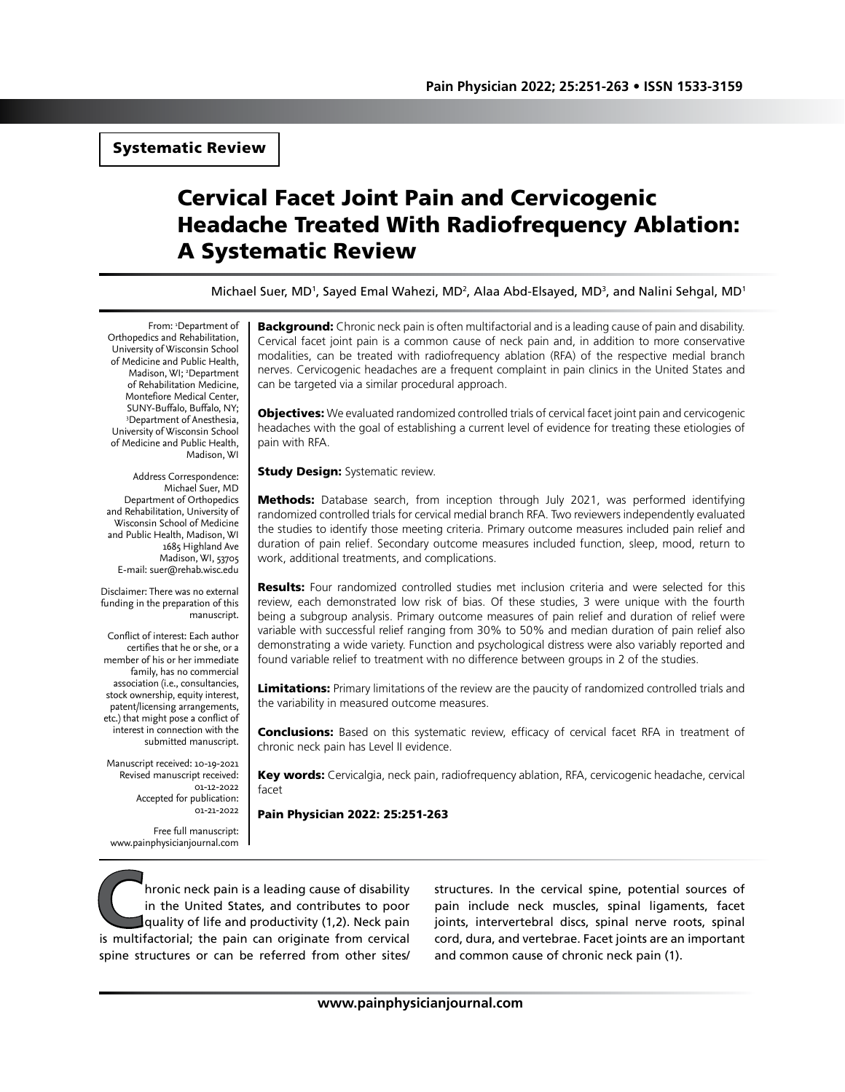# Systematic Review

# Cervical Facet Joint Pain and Cervicogenic Headache Treated With Radiofrequency Ablation: A Systematic Review

Michael Suer, MD<sup>1</sup>, Sayed Emal Wahezi, MD<sup>2</sup>, Alaa Abd-Elsayed, MD<sup>3</sup>, and Nalini Sehgal, MD<sup>1</sup>

From: 1 Department of Orthopedics and Rehabilitation, University of Wisconsin School of Medicine and Public Health, Madison, WI; <sup>2</sup>Department of Rehabilitation Medicine, Montefiore Medical Center, SUNY-Buffalo, Buffalo, NY; 3 Department of Anesthesia, University of Wisconsin School of Medicine and Public Health, Madison, WI

Address Correspondence: Michael Suer, MD Department of Orthopedics and Rehabilitation, University of Wisconsin School of Medicine and Public Health, Madison, WI 1685 Highland Ave Madison, WI, 53705 E-mail: suer@rehab.wisc.edu

Disclaimer: There was no external funding in the preparation of this manuscript.

Conflict of interest: Each author certifies that he or she, or a member of his or her immediate family, has no commercial association (i.e., consultancies, stock ownership, equity interest, patent/licensing arrangements, etc.) that might pose a conflict of interest in connection with the submitted manuscript.

Manuscript received: 10-19-2021 Revised manuscript received: 01-12-2022 Accepted for publication: 01-21-2022

Free full manuscript: www.painphysicianjournal.com Background: Chronic neck pain is often multifactorial and is a leading cause of pain and disability. Cervical facet joint pain is a common cause of neck pain and, in addition to more conservative modalities, can be treated with radiofrequency ablation (RFA) of the respective medial branch nerves. Cervicogenic headaches are a frequent complaint in pain clinics in the United States and can be targeted via a similar procedural approach.

**Objectives:** We evaluated randomized controlled trials of cervical facet joint pain and cervicogenic headaches with the goal of establishing a current level of evidence for treating these etiologies of pain with RFA.

**Study Design: Systematic review.** 

**Methods:** Database search, from inception through July 2021, was performed identifying randomized controlled trials for cervical medial branch RFA. Two reviewers independently evaluated the studies to identify those meeting criteria. Primary outcome measures included pain relief and duration of pain relief. Secondary outcome measures included function, sleep, mood, return to work, additional treatments, and complications.

**Results:** Four randomized controlled studies met inclusion criteria and were selected for this review, each demonstrated low risk of bias. Of these studies, 3 were unique with the fourth being a subgroup analysis. Primary outcome measures of pain relief and duration of relief were variable with successful relief ranging from 30% to 50% and median duration of pain relief also demonstrating a wide variety. Function and psychological distress were also variably reported and found variable relief to treatment with no difference between groups in 2 of the studies.

Limitations: Primary limitations of the review are the paucity of randomized controlled trials and the variability in measured outcome measures.

**Conclusions:** Based on this systematic review, efficacy of cervical facet RFA in treatment of chronic neck pain has Level II evidence.

Key words: Cervicalgia, neck pain, radiofrequency ablation, RFA, cervicogenic headache, cervical facet

Pain Physician 2022: 25:251-263

**Community of the United States, and contributes to poor**<br>in the United States, and contributes to poor<br>quality of life and productivity (1,2). Neck pain<br>is multifactorial: the pain can originate from cervical in the United States, and contributes to poor quality of life and productivity (1,2). Neck pain is multifactorial; the pain can originate from cervical spine structures or can be referred from other sites/

structures. In the cervical spine, potential sources of pain include neck muscles, spinal ligaments, facet joints, intervertebral discs, spinal nerve roots, spinal cord, dura, and vertebrae. Facet joints are an important and common cause of chronic neck pain (1).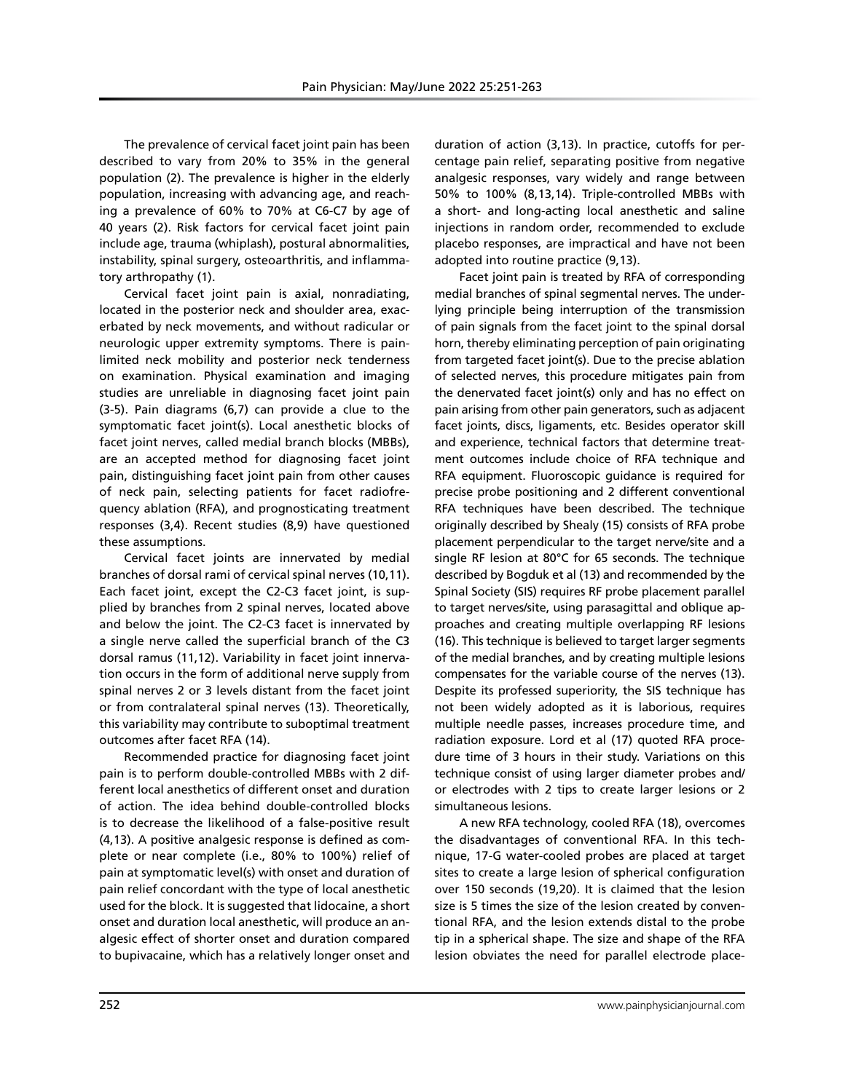The prevalence of cervical facet joint pain has been described to vary from 20% to 35% in the general population (2). The prevalence is higher in the elderly population, increasing with advancing age, and reaching a prevalence of 60% to 70% at C6-C7 by age of 40 years (2). Risk factors for cervical facet joint pain include age, trauma (whiplash), postural abnormalities, instability, spinal surgery, osteoarthritis, and inflammatory arthropathy (1).

Cervical facet joint pain is axial, nonradiating, located in the posterior neck and shoulder area, exacerbated by neck movements, and without radicular or neurologic upper extremity symptoms. There is painlimited neck mobility and posterior neck tenderness on examination. Physical examination and imaging studies are unreliable in diagnosing facet joint pain (3-5). Pain diagrams (6,7) can provide a clue to the symptomatic facet joint(s). Local anesthetic blocks of facet joint nerves, called medial branch blocks (MBBs), are an accepted method for diagnosing facet joint pain, distinguishing facet joint pain from other causes of neck pain, selecting patients for facet radiofrequency ablation (RFA), and prognosticating treatment responses (3,4). Recent studies (8,9) have questioned these assumptions.

Cervical facet joints are innervated by medial branches of dorsal rami of cervical spinal nerves (10,11). Each facet joint, except the C2-C3 facet joint, is supplied by branches from 2 spinal nerves, located above and below the joint. The C2-C3 facet is innervated by a single nerve called the superficial branch of the C3 dorsal ramus (11,12). Variability in facet joint innervation occurs in the form of additional nerve supply from spinal nerves 2 or 3 levels distant from the facet joint or from contralateral spinal nerves (13). Theoretically, this variability may contribute to suboptimal treatment outcomes after facet RFA (14).

Recommended practice for diagnosing facet joint pain is to perform double-controlled MBBs with 2 different local anesthetics of different onset and duration of action. The idea behind double-controlled blocks is to decrease the likelihood of a false-positive result (4,13). A positive analgesic response is defined as complete or near complete (i.e., 80% to 100%) relief of pain at symptomatic level(s) with onset and duration of pain relief concordant with the type of local anesthetic used for the block. It is suggested that lidocaine, a short onset and duration local anesthetic, will produce an analgesic effect of shorter onset and duration compared to bupivacaine, which has a relatively longer onset and

duration of action (3,13). In practice, cutoffs for percentage pain relief, separating positive from negative analgesic responses, vary widely and range between 50% to 100% (8,13,14). Triple-controlled MBBs with a short- and long-acting local anesthetic and saline injections in random order, recommended to exclude placebo responses, are impractical and have not been adopted into routine practice (9,13).

Facet joint pain is treated by RFA of corresponding medial branches of spinal segmental nerves. The underlying principle being interruption of the transmission of pain signals from the facet joint to the spinal dorsal horn, thereby eliminating perception of pain originating from targeted facet joint(s). Due to the precise ablation of selected nerves, this procedure mitigates pain from the denervated facet joint(s) only and has no effect on pain arising from other pain generators, such as adjacent facet joints, discs, ligaments, etc. Besides operator skill and experience, technical factors that determine treatment outcomes include choice of RFA technique and RFA equipment. Fluoroscopic guidance is required for precise probe positioning and 2 different conventional RFA techniques have been described. The technique originally described by Shealy (15) consists of RFA probe placement perpendicular to the target nerve/site and a single RF lesion at 80°C for 65 seconds. The technique described by Bogduk et al (13) and recommended by the Spinal Society (SIS) requires RF probe placement parallel to target nerves/site, using parasagittal and oblique approaches and creating multiple overlapping RF lesions (16). This technique is believed to target larger segments of the medial branches, and by creating multiple lesions compensates for the variable course of the nerves (13). Despite its professed superiority, the SIS technique has not been widely adopted as it is laborious, requires multiple needle passes, increases procedure time, and radiation exposure. Lord et al (17) quoted RFA procedure time of 3 hours in their study. Variations on this technique consist of using larger diameter probes and/ or electrodes with 2 tips to create larger lesions or 2 simultaneous lesions.

A new RFA technology, cooled RFA (18), overcomes the disadvantages of conventional RFA. In this technique, 17-G water-cooled probes are placed at target sites to create a large lesion of spherical configuration over 150 seconds (19,20). It is claimed that the lesion size is 5 times the size of the lesion created by conventional RFA, and the lesion extends distal to the probe tip in a spherical shape. The size and shape of the RFA lesion obviates the need for parallel electrode place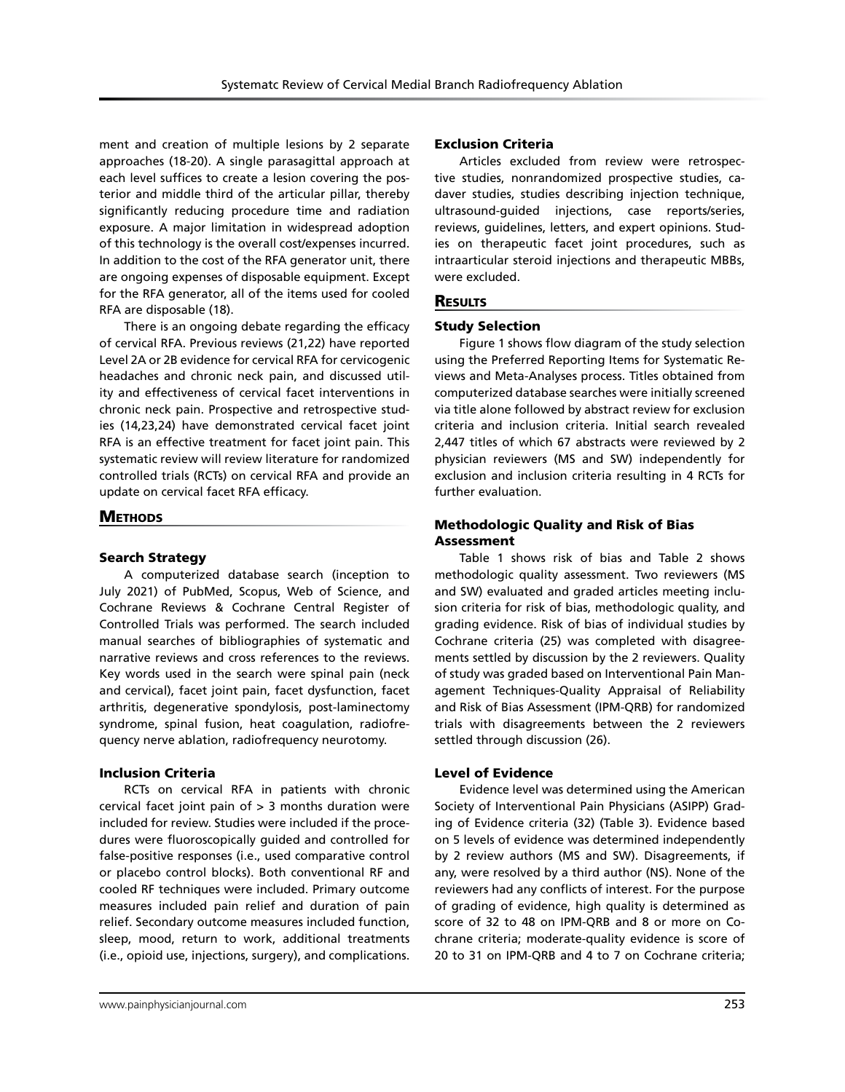ment and creation of multiple lesions by 2 separate approaches (18-20). A single parasagittal approach at each level suffices to create a lesion covering the posterior and middle third of the articular pillar, thereby significantly reducing procedure time and radiation exposure. A major limitation in widespread adoption of this technology is the overall cost/expenses incurred. In addition to the cost of the RFA generator unit, there are ongoing expenses of disposable equipment. Except for the RFA generator, all of the items used for cooled RFA are disposable (18).

There is an ongoing debate regarding the efficacy of cervical RFA. Previous reviews (21,22) have reported Level 2A or 2B evidence for cervical RFA for cervicogenic headaches and chronic neck pain, and discussed utility and effectiveness of cervical facet interventions in chronic neck pain. Prospective and retrospective studies (14,23,24) have demonstrated cervical facet joint RFA is an effective treatment for facet joint pain. This systematic review will review literature for randomized controlled trials (RCTs) on cervical RFA and provide an update on cervical facet RFA efficacy.

#### **METHODS**

#### Search Strategy

A computerized database search (inception to July 2021) of PubMed, Scopus, Web of Science, and Cochrane Reviews & Cochrane Central Register of Controlled Trials was performed. The search included manual searches of bibliographies of systematic and narrative reviews and cross references to the reviews. Key words used in the search were spinal pain (neck and cervical), facet joint pain, facet dysfunction, facet arthritis, degenerative spondylosis, post-laminectomy syndrome, spinal fusion, heat coagulation, radiofrequency nerve ablation, radiofrequency neurotomy.

#### Inclusion Criteria

RCTs on cervical RFA in patients with chronic cervical facet joint pain of  $> 3$  months duration were included for review. Studies were included if the procedures were fluoroscopically guided and controlled for false-positive responses (i.e., used comparative control or placebo control blocks). Both conventional RF and cooled RF techniques were included. Primary outcome measures included pain relief and duration of pain relief. Secondary outcome measures included function, sleep, mood, return to work, additional treatments (i.e., opioid use, injections, surgery), and complications.

#### Exclusion Criteria

Articles excluded from review were retrospective studies, nonrandomized prospective studies, cadaver studies, studies describing injection technique, ultrasound-guided injections, case reports/series, reviews, guidelines, letters, and expert opinions. Studies on therapeutic facet joint procedures, such as intraarticular steroid injections and therapeutic MBBs, were excluded.

#### **RESULTS**

#### Study Selection

Figure 1 shows flow diagram of the study selection using the Preferred Reporting Items for Systematic Reviews and Meta-Analyses process. Titles obtained from computerized database searches were initially screened via title alone followed by abstract review for exclusion criteria and inclusion criteria. Initial search revealed 2,447 titles of which 67 abstracts were reviewed by 2 physician reviewers (MS and SW) independently for exclusion and inclusion criteria resulting in 4 RCTs for further evaluation.

### Methodologic Quality and Risk of Bias Assessment

Table 1 shows risk of bias and Table 2 shows methodologic quality assessment. Two reviewers (MS and SW) evaluated and graded articles meeting inclusion criteria for risk of bias, methodologic quality, and grading evidence. Risk of bias of individual studies by Cochrane criteria (25) was completed with disagreements settled by discussion by the 2 reviewers. Quality of study was graded based on Interventional Pain Management Techniques-Quality Appraisal of Reliability and Risk of Bias Assessment (IPM-QRB) for randomized trials with disagreements between the 2 reviewers settled through discussion (26).

#### Level of Evidence

Evidence level was determined using the American Society of Interventional Pain Physicians (ASIPP) Grading of Evidence criteria (32) (Table 3). Evidence based on 5 levels of evidence was determined independently by 2 review authors (MS and SW). Disagreements, if any, were resolved by a third author (NS). None of the reviewers had any conflicts of interest. For the purpose of grading of evidence, high quality is determined as score of 32 to 48 on IPM-QRB and 8 or more on Cochrane criteria; moderate-quality evidence is score of 20 to 31 on IPM-QRB and 4 to 7 on Cochrane criteria;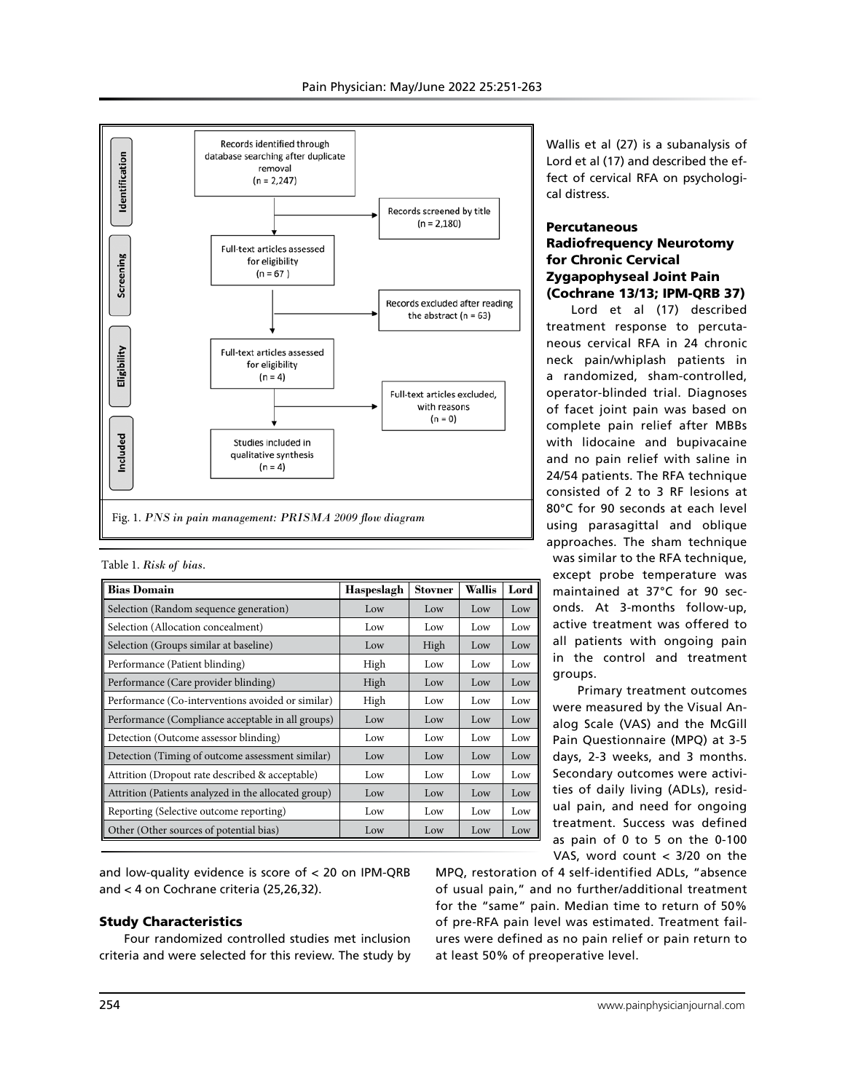

|  |  |  |  | Table 1. Risk of bias. |
|--|--|--|--|------------------------|
|--|--|--|--|------------------------|

| <b>Bias Domain</b>                                   | Haspeslagh | <b>Stovner</b> | <b>Wallis</b> | Lord |
|------------------------------------------------------|------------|----------------|---------------|------|
| Selection (Random sequence generation)               | Low        | Low            | Low           | Low  |
| Selection (Allocation concealment)                   | Low        | Low            | Low           | Low  |
| Selection (Groups similar at baseline)               | Low        | High           | Low           | Low  |
| Performance (Patient blinding)                       | High       | Low            | Low           | Low  |
| Performance (Care provider blinding)                 | High       | Low            | Low           | Low  |
| Performance (Co-interventions avoided or similar)    | High       | Low            | Low           | Low  |
| Performance (Compliance acceptable in all groups)    | Low        | Low            | Low           | Low  |
| Detection (Outcome assessor blinding)                | Low        | Low            | Low           | Low  |
| Detection (Timing of outcome assessment similar)     | Low        | Low            | Low           | Low  |
| Attrition (Dropout rate described & acceptable)      | Low        | Low            | Low           | Low  |
| Attrition (Patients analyzed in the allocated group) | Low        | Low            | Low           | Low  |
| Reporting (Selective outcome reporting)              | Low        | Low            | Low           | Low  |
| Other (Other sources of potential bias)              | Low        | Low            | Low           | Low  |

and low-quality evidence is score of < 20 on IPM-QRB and < 4 on Cochrane criteria (25,26,32).

## Study Characteristics

Four randomized controlled studies met inclusion criteria and were selected for this review. The study by

Wallis et al (27) is a subanalysis of Lord et al (17) and described the effect of cervical RFA on psychological distress.

## **Percutaneous** Radiofrequency Neurotomy for Chronic Cervical Zygapophyseal Joint Pain (Cochrane 13/13; IPM-QRB 37)

Lord et al (17) described treatment response to percutaneous cervical RFA in 24 chronic neck pain/whiplash patients in a randomized, sham-controlled, operator-blinded trial. Diagnoses of facet joint pain was based on complete pain relief after MBBs with lidocaine and bupivacaine and no pain relief with saline in 24/54 patients. The RFA technique consisted of 2 to 3 RF lesions at 80°C for 90 seconds at each level using parasagittal and oblique approaches. The sham technique was similar to the RFA technique, except probe temperature was maintained at 37°C for 90 seconds. At 3-months follow-up, active treatment was offered to all patients with ongoing pain in the control and treatment groups.

Primary treatment outcomes were measured by the Visual Analog Scale (VAS) and the McGill Pain Questionnaire (MPQ) at 3-5 days, 2-3 weeks, and 3 months. Secondary outcomes were activities of daily living (ADLs), residual pain, and need for ongoing treatment. Success was defined as pain of 0 to 5 on the 0-100 VAS, word count < 3/20 on the

MPQ, restoration of 4 self-identified ADLs, "absence of usual pain," and no further/additional treatment for the "same" pain. Median time to return of 50% of pre-RFA pain level was estimated. Treatment failures were defined as no pain relief or pain return to at least 50% of preoperative level.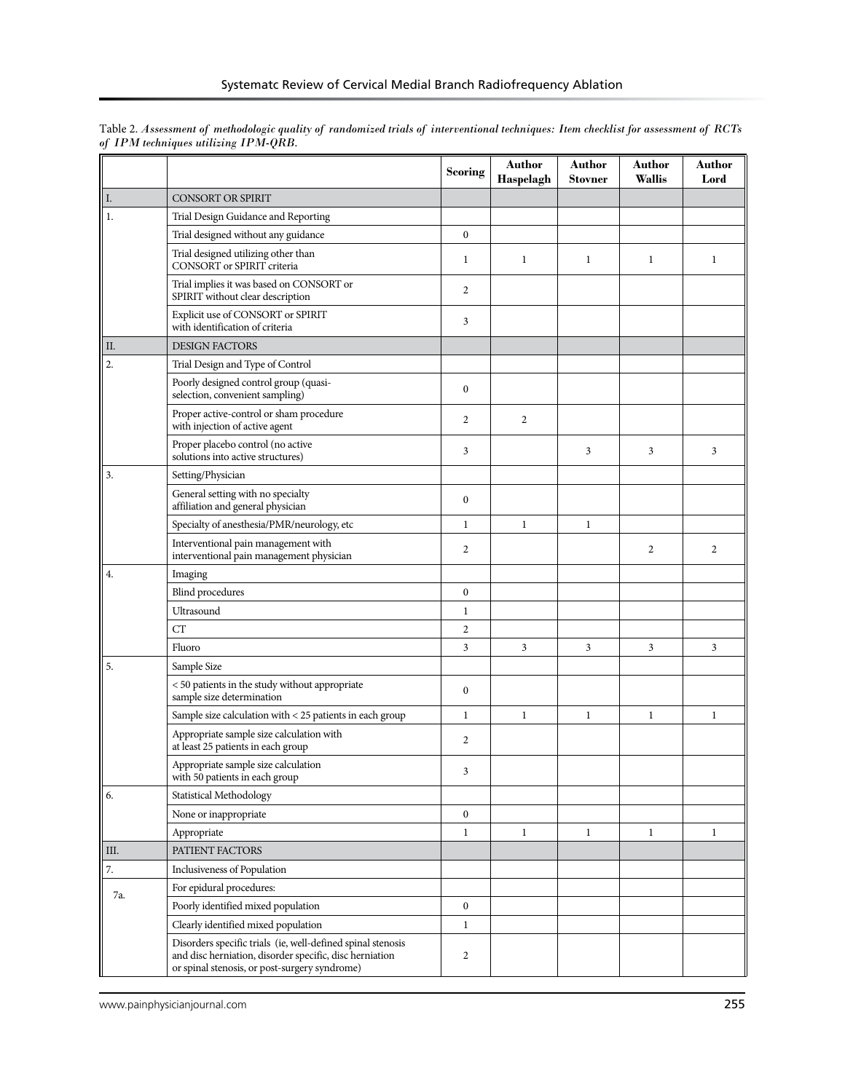|      |                                                                                                                                                                         | <b>Scoring</b>   | Author<br>Haspelagh | <b>Author</b><br><b>Stovner</b> | <b>Author</b><br>Wallis | Author<br>Lord |
|------|-------------------------------------------------------------------------------------------------------------------------------------------------------------------------|------------------|---------------------|---------------------------------|-------------------------|----------------|
| I.   | <b>CONSORT OR SPIRIT</b>                                                                                                                                                |                  |                     |                                 |                         |                |
| 1.   | Trial Design Guidance and Reporting                                                                                                                                     |                  |                     |                                 |                         |                |
|      | Trial designed without any guidance                                                                                                                                     | $\boldsymbol{0}$ |                     |                                 |                         |                |
|      | Trial designed utilizing other than<br>CONSORT or SPIRIT criteria                                                                                                       | 1                | 1                   | $\mathbf{1}$                    | $\mathbf{1}$            | 1              |
|      | Trial implies it was based on CONSORT or<br>SPIRIT without clear description                                                                                            | 2                |                     |                                 |                         |                |
|      | Explicit use of CONSORT or SPIRIT<br>with identification of criteria                                                                                                    | 3                |                     |                                 |                         |                |
| Π.   | <b>DESIGN FACTORS</b>                                                                                                                                                   |                  |                     |                                 |                         |                |
| 2.   | Trial Design and Type of Control                                                                                                                                        |                  |                     |                                 |                         |                |
|      | Poorly designed control group (quasi-<br>selection, convenient sampling)                                                                                                | $\boldsymbol{0}$ |                     |                                 |                         |                |
|      | Proper active-control or sham procedure<br>with injection of active agent                                                                                               | 2                | 2                   |                                 |                         |                |
|      | Proper placebo control (no active<br>solutions into active structures)                                                                                                  | 3                |                     | 3                               | 3                       | 3              |
| 3.   | Setting/Physician                                                                                                                                                       |                  |                     |                                 |                         |                |
|      | General setting with no specialty<br>affiliation and general physician                                                                                                  | $\boldsymbol{0}$ |                     |                                 |                         |                |
|      | Specialty of anesthesia/PMR/neurology, etc                                                                                                                              | $\mathbf{1}$     | 1                   | $\mathbf{1}$                    |                         |                |
|      | Interventional pain management with<br>interventional pain management physician                                                                                         | 2                |                     |                                 | $\overline{2}$          | $\overline{2}$ |
| 4.   | Imaging                                                                                                                                                                 |                  |                     |                                 |                         |                |
|      | <b>Blind</b> procedures                                                                                                                                                 | $\boldsymbol{0}$ |                     |                                 |                         |                |
|      | Ultrasound                                                                                                                                                              | $\mathbf{1}$     |                     |                                 |                         |                |
|      | CT                                                                                                                                                                      | 2                |                     |                                 |                         |                |
|      | Fluoro                                                                                                                                                                  | 3                | 3                   | 3                               | 3                       | 3              |
| 5.   | Sample Size                                                                                                                                                             |                  |                     |                                 |                         |                |
|      | < 50 patients in the study without appropriate<br>sample size determination                                                                                             | 0                |                     |                                 |                         |                |
|      | Sample size calculation with < 25 patients in each group                                                                                                                | $\mathbf{1}$     | 1                   | 1                               | 1                       | 1              |
|      | Appropriate sample size calculation with<br>at least 25 patients in each group                                                                                          | 2                |                     |                                 |                         |                |
|      | Appropriate sample size calculation<br>with 50 patients in each group                                                                                                   | 3                |                     |                                 |                         |                |
| 6.   | Statistical Methodology                                                                                                                                                 |                  |                     |                                 |                         |                |
|      | None or inappropriate                                                                                                                                                   | $\boldsymbol{0}$ |                     |                                 |                         |                |
|      | Appropriate                                                                                                                                                             | $\mathbf{1}$     | 1                   | $\mathbf{1}$                    | $\mathbf{1}$            | $\mathbf{1}$   |
| III. | PATIENT FACTORS                                                                                                                                                         |                  |                     |                                 |                         |                |
| 7.   | Inclusiveness of Population                                                                                                                                             |                  |                     |                                 |                         |                |
| 7a.  | For epidural procedures:                                                                                                                                                |                  |                     |                                 |                         |                |
|      | Poorly identified mixed population                                                                                                                                      | $\boldsymbol{0}$ |                     |                                 |                         |                |
|      | Clearly identified mixed population                                                                                                                                     | $\mathbf{1}$     |                     |                                 |                         |                |
|      | Disorders specific trials (ie, well-defined spinal stenosis<br>and disc herniation, disorder specific, disc herniation<br>or spinal stenosis, or post-surgery syndrome) | 2                |                     |                                 |                         |                |

Table 2. *Assessment of methodologic quality of randomized trials of interventional techniques: Item checklist for assessment of RCTs of IPM techniques utilizing IPM-QRB.*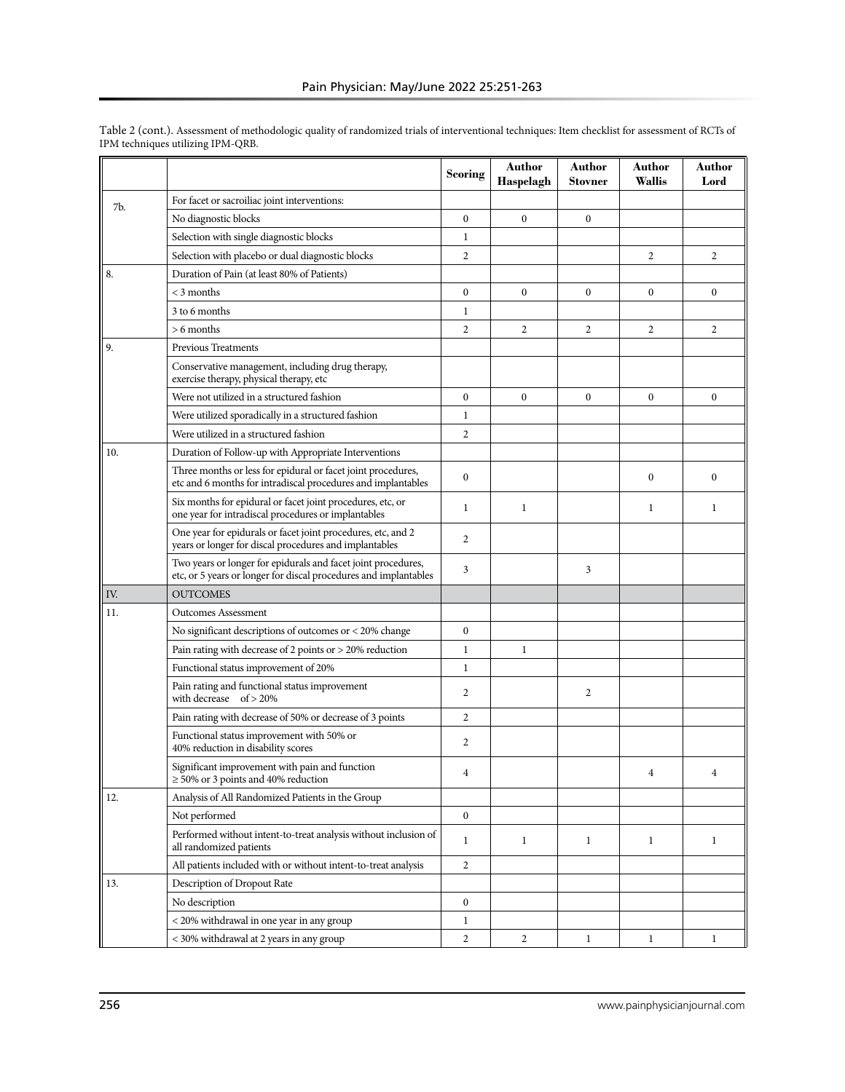|     |                                                                                                                                   | Scoring          | Author<br>Haspelagh | Author<br>Stovner | Author<br>Wallis | Author<br>Lord   |
|-----|-----------------------------------------------------------------------------------------------------------------------------------|------------------|---------------------|-------------------|------------------|------------------|
|     | For facet or sacroiliac joint interventions:                                                                                      |                  |                     |                   |                  |                  |
| 7b. | No diagnostic blocks                                                                                                              | $\mathbf{0}$     | $\mathbf{0}$        | $\mathbf{0}$      |                  |                  |
|     | Selection with single diagnostic blocks                                                                                           | 1                |                     |                   |                  |                  |
|     | Selection with placebo or dual diagnostic blocks                                                                                  | $\overline{c}$   |                     |                   | 2                | 2                |
| 8.  | Duration of Pain (at least 80% of Patients)                                                                                       |                  |                     |                   |                  |                  |
|     | $<$ 3 months                                                                                                                      | $\mathbf{0}$     | $\theta$            | $\theta$          | $\Omega$         | $\mathbf{0}$     |
|     | 3 to 6 months                                                                                                                     | 1                |                     |                   |                  |                  |
|     | $> 6$ months                                                                                                                      | $\overline{2}$   | $\overline{2}$      | $\overline{2}$    | 2                | 2                |
| 9.  | <b>Previous Treatments</b>                                                                                                        |                  |                     |                   |                  |                  |
|     | Conservative management, including drug therapy,<br>exercise therapy, physical therapy, etc                                       |                  |                     |                   |                  |                  |
|     | Were not utilized in a structured fashion                                                                                         | $\bf{0}$         | $\boldsymbol{0}$    | $\boldsymbol{0}$  | $\mathbf{0}$     | $\boldsymbol{0}$ |
|     | Were utilized sporadically in a structured fashion                                                                                | 1                |                     |                   |                  |                  |
|     | Were utilized in a structured fashion                                                                                             | $\overline{c}$   |                     |                   |                  |                  |
| 10. | Duration of Follow-up with Appropriate Interventions                                                                              |                  |                     |                   |                  |                  |
|     | Three months or less for epidural or facet joint procedures,<br>etc and 6 months for intradiscal procedures and implantables      | $\boldsymbol{0}$ |                     |                   | $\mathbf{0}$     | $\boldsymbol{0}$ |
|     | Six months for epidural or facet joint procedures, etc, or<br>one year for intradiscal procedures or implantables                 | $\mathbf{1}$     | 1                   |                   | 1                | 1                |
|     | One year for epidurals or facet joint procedures, etc, and 2<br>years or longer for discal procedures and implantables            | $\overline{2}$   |                     |                   |                  |                  |
|     | Two years or longer for epidurals and facet joint procedures,<br>etc, or 5 years or longer for discal procedures and implantables | 3                |                     | 3                 |                  |                  |
| IV. | <b>OUTCOMES</b>                                                                                                                   |                  |                     |                   |                  |                  |
| 11. | <b>Outcomes Assessment</b>                                                                                                        |                  |                     |                   |                  |                  |
|     | No significant descriptions of outcomes or $<$ 20% change                                                                         | $\boldsymbol{0}$ |                     |                   |                  |                  |
|     | Pain rating with decrease of 2 points or > 20% reduction                                                                          | $\mathbf{1}$     | 1                   |                   |                  |                  |
|     | Functional status improvement of 20%                                                                                              | 1                |                     |                   |                  |                  |
|     | Pain rating and functional status improvement<br>with decrease of $> 20\%$                                                        | 2                |                     | 2                 |                  |                  |
|     | Pain rating with decrease of 50% or decrease of 3 points                                                                          | 2                |                     |                   |                  |                  |
|     | Functional status improvement with 50% or<br>40% reduction in disability scores                                                   | 2                |                     |                   |                  |                  |
|     | Significant improvement with pain and function<br>$\geq$ 50% or 3 points and 40% reduction                                        | 4                |                     |                   |                  | 4                |
| 12. | Analysis of All Randomized Patients in the Group                                                                                  |                  |                     |                   |                  |                  |
|     | Not performed                                                                                                                     | $\mathbf{0}$     |                     |                   |                  |                  |
|     | Performed without intent-to-treat analysis without inclusion of<br>all randomized patients                                        | 1                | $\mathbf{1}$        | $\mathbf{1}$      | $\mathbf{1}$     | 1                |
|     | All patients included with or without intent-to-treat analysis                                                                    | 2                |                     |                   |                  |                  |
| 13. | Description of Dropout Rate                                                                                                       |                  |                     |                   |                  |                  |
|     | No description                                                                                                                    | $\bf{0}$         |                     |                   |                  |                  |
|     | < 20% withdrawal in one year in any group                                                                                         | $\mathbf{1}$     |                     |                   |                  |                  |
|     | < 30% withdrawal at 2 years in any group                                                                                          | 2                | $\overline{c}$      | 1                 | 1                | $\mathbf{1}$     |

Table 2 (cont.). Assessment of methodologic quality of randomized trials of interventional techniques: Item checklist for assessment of RCTs of IPM techniques utilizing IPM-QRB.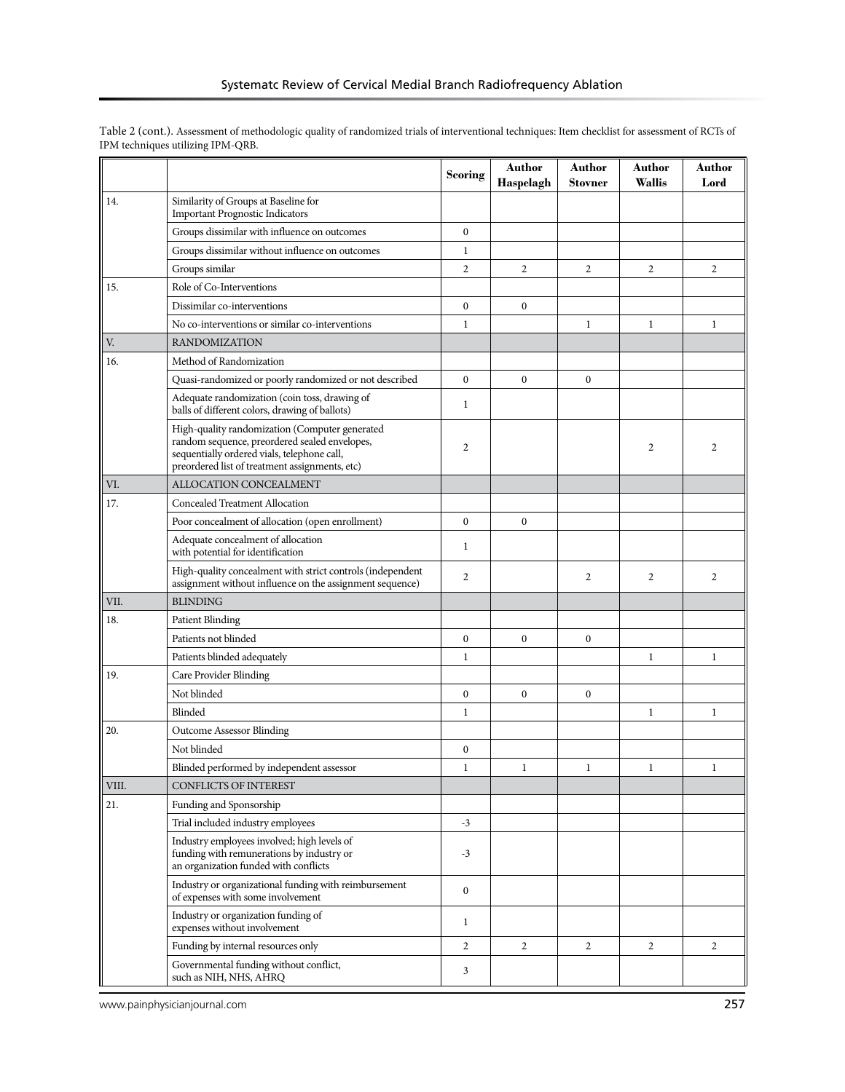|       |                                                                                                                                                                                                  | <b>Scoring</b>   | Author<br>Haspelagh | Author<br>Stovner | Author<br><b>Wallis</b> | Author<br>Lord |
|-------|--------------------------------------------------------------------------------------------------------------------------------------------------------------------------------------------------|------------------|---------------------|-------------------|-------------------------|----------------|
| 14.   | Similarity of Groups at Baseline for<br><b>Important Prognostic Indicators</b>                                                                                                                   |                  |                     |                   |                         |                |
|       | Groups dissimilar with influence on outcomes                                                                                                                                                     | $\boldsymbol{0}$ |                     |                   |                         |                |
|       | Groups dissimilar without influence on outcomes                                                                                                                                                  | $\mathbf{1}$     |                     |                   |                         |                |
|       | Groups similar                                                                                                                                                                                   | 2                | $\overline{2}$      | 2                 | $\overline{2}$          | $\overline{2}$ |
| 15.   | Role of Co-Interventions                                                                                                                                                                         |                  |                     |                   |                         |                |
|       | Dissimilar co-interventions                                                                                                                                                                      | $\boldsymbol{0}$ | $\bf{0}$            |                   |                         |                |
|       | No co-interventions or similar co-interventions                                                                                                                                                  | $\mathbf 1$      |                     | $\mathbf{1}$      | $\mathbf{1}$            | $\mathbf{1}$   |
| V.    | <b>RANDOMIZATION</b>                                                                                                                                                                             |                  |                     |                   |                         |                |
| 16.   | Method of Randomization                                                                                                                                                                          |                  |                     |                   |                         |                |
|       | Quasi-randomized or poorly randomized or not described                                                                                                                                           | $\boldsymbol{0}$ | $\mathbf{0}$        | $\boldsymbol{0}$  |                         |                |
|       | Adequate randomization (coin toss, drawing of<br>balls of different colors, drawing of ballots)                                                                                                  | 1                |                     |                   |                         |                |
|       | High-quality randomization (Computer generated<br>random sequence, preordered sealed envelopes,<br>sequentially ordered vials, telephone call,<br>preordered list of treatment assignments, etc) | $\overline{c}$   |                     |                   | 2                       | 2              |
| VI.   | ALLOCATION CONCEALMENT                                                                                                                                                                           |                  |                     |                   |                         |                |
| 17.   | Concealed Treatment Allocation                                                                                                                                                                   |                  |                     |                   |                         |                |
|       | Poor concealment of allocation (open enrollment)                                                                                                                                                 | $\mathbf{0}$     | $\mathbf{0}$        |                   |                         |                |
|       | Adequate concealment of allocation<br>with potential for identification                                                                                                                          | $\mathbf{1}$     |                     |                   |                         |                |
|       | High-quality concealment with strict controls (independent<br>assignment without influence on the assignment sequence)                                                                           | $\overline{c}$   |                     | $\overline{2}$    | 2                       | 2              |
| VII.  | <b>BLINDING</b>                                                                                                                                                                                  |                  |                     |                   |                         |                |
| 18.   | <b>Patient Blinding</b>                                                                                                                                                                          |                  |                     |                   |                         |                |
|       | Patients not blinded                                                                                                                                                                             | $\boldsymbol{0}$ | $\boldsymbol{0}$    | $\boldsymbol{0}$  |                         |                |
|       | Patients blinded adequately                                                                                                                                                                      | $\mathbf{1}$     |                     |                   | $\mathbf{1}$            | $\mathbf{1}$   |
| 19.   | Care Provider Blinding                                                                                                                                                                           |                  |                     |                   |                         |                |
|       | Not blinded                                                                                                                                                                                      | $\mathbf{0}$     | $\mathbf{0}$        | $\mathbf{0}$      |                         |                |
|       | Blinded                                                                                                                                                                                          | 1                |                     |                   | 1                       | $\mathbf{1}$   |
| 20.   | <b>Outcome Assessor Blinding</b>                                                                                                                                                                 |                  |                     |                   |                         |                |
|       | Not blinded                                                                                                                                                                                      | $\boldsymbol{0}$ |                     |                   |                         |                |
|       | Blinded performed by independent assessor                                                                                                                                                        | 1                | 1                   | $\mathbf{1}$      | $\mathbf{1}$            | 1              |
| VIII. | CONFLICTS OF INTEREST                                                                                                                                                                            |                  |                     |                   |                         |                |
| 21.   | Funding and Sponsorship                                                                                                                                                                          |                  |                     |                   |                         |                |
|       | Trial included industry employees                                                                                                                                                                | $-3$             |                     |                   |                         |                |
|       | Industry employees involved; high levels of<br>funding with remunerations by industry or<br>an organization funded with conflicts                                                                | $-3$             |                     |                   |                         |                |
|       | Industry or organizational funding with reimbursement<br>of expenses with some involvement                                                                                                       | $\boldsymbol{0}$ |                     |                   |                         |                |
|       | Industry or organization funding of<br>expenses without involvement                                                                                                                              | $\mathbf{1}$     |                     |                   |                         |                |
|       | Funding by internal resources only                                                                                                                                                               | 2                | $\overline{c}$      | $\mathbf{2}$      | $\overline{2}$          | $\overline{2}$ |
|       | Governmental funding without conflict,<br>such as NIH, NHS, AHRQ                                                                                                                                 | 3                |                     |                   |                         |                |

Table 2 (cont.). Assessment of methodologic quality of randomized trials of interventional techniques: Item checklist for assessment of RCTs of IPM techniques utilizing IPM-QRB.

www.painphysicianjournal.com **257**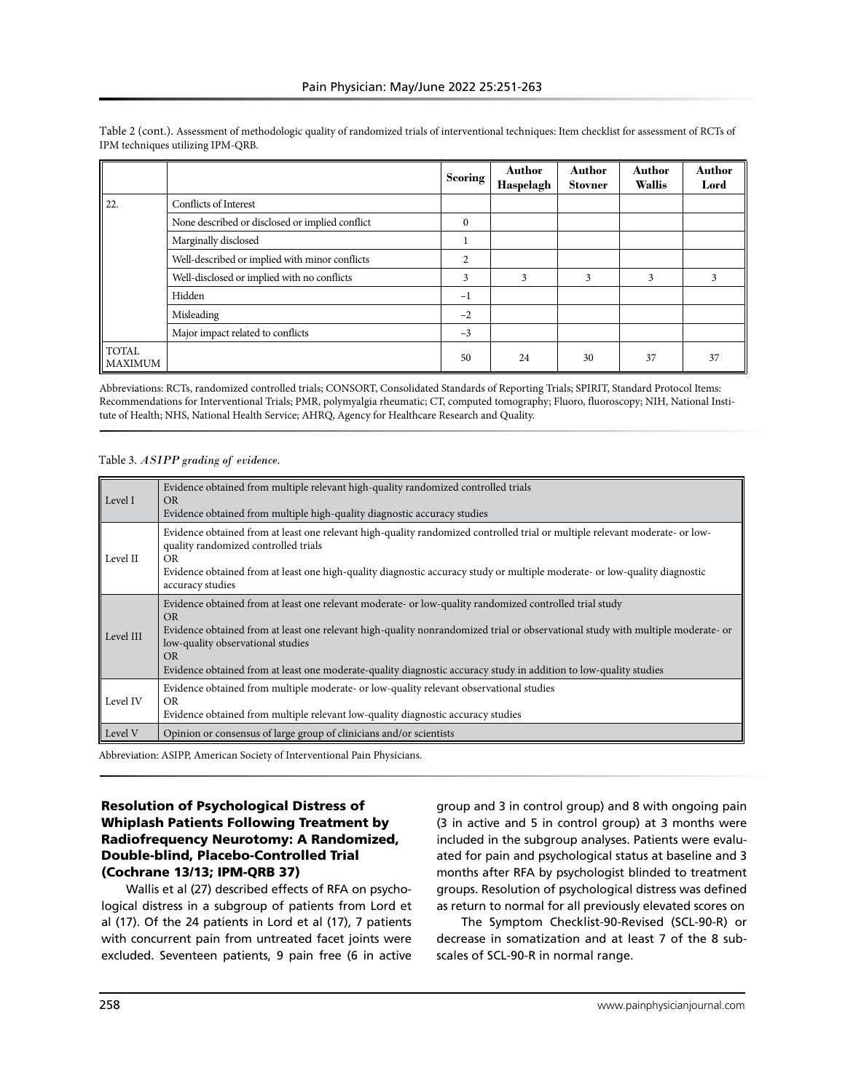|                    |                                                 | <b>Scoring</b> | <b>Author</b><br>Haspelagh | <b>Author</b><br><b>Stovner</b> | <b>Author</b><br><b>Wallis</b> | <b>Author</b><br>Lord |
|--------------------|-------------------------------------------------|----------------|----------------------------|---------------------------------|--------------------------------|-----------------------|
| 22.                | Conflicts of Interest                           |                |                            |                                 |                                |                       |
|                    | None described or disclosed or implied conflict | $\mathbf{0}$   |                            |                                 |                                |                       |
|                    | Marginally disclosed                            |                |                            |                                 |                                |                       |
|                    | Well-described or implied with minor conflicts  | 2              |                            |                                 |                                |                       |
|                    | Well-disclosed or implied with no conflicts     | 3              | 3                          | 3                               | 3                              | 3                     |
|                    | Hidden                                          | $^{-1}$        |                            |                                 |                                |                       |
|                    | Misleading                                      | $-2$           |                            |                                 |                                |                       |
|                    | Major impact related to conflicts               | $-3$           |                            |                                 |                                |                       |
| TOTAL<br>  MAXIMUM |                                                 | 50             | 24                         | 30                              | 37                             | 37                    |

Table 2 (cont.). Assessment of methodologic quality of randomized trials of interventional techniques: Item checklist for assessment of RCTs of IPM techniques utilizing IPM-QRB.

Abbreviations: RCTs, randomized controlled trials; CONSORT, Consolidated Standards of Reporting Trials; SPIRIT, Standard Protocol Items: Recommendations for Interventional Trials; PMR, polymyalgia rheumatic; CT, computed tomography; Fluoro, fluoroscopy; NIH, National Institute of Health; NHS, National Health Service; AHRQ, Agency for Healthcare Research and Quality.

#### Table 3. *ASIPP grading of evidence.*

| Level I   | Evidence obtained from multiple relevant high-quality randomized controlled trials<br>OR.<br>Evidence obtained from multiple high-quality diagnostic accuracy studies                                                                                                                                                                                                                                                    |
|-----------|--------------------------------------------------------------------------------------------------------------------------------------------------------------------------------------------------------------------------------------------------------------------------------------------------------------------------------------------------------------------------------------------------------------------------|
| Level II  | Evidence obtained from at least one relevant high-quality randomized controlled trial or multiple relevant moderate- or low-<br>quality randomized controlled trials<br>OR.<br>Evidence obtained from at least one high-quality diagnostic accuracy study or multiple moderate- or low-quality diagnostic<br>accuracy studies                                                                                            |
| Level III | Evidence obtained from at least one relevant moderate- or low-quality randomized controlled trial study<br>OR.<br>Evidence obtained from at least one relevant high-quality nonrandomized trial or observational study with multiple moderate- or<br>low-quality observational studies<br><b>OR</b><br>Evidence obtained from at least one moderate-quality diagnostic accuracy study in addition to low-quality studies |
| Level IV  | Evidence obtained from multiple moderate- or low-quality relevant observational studies<br>OR.<br>Evidence obtained from multiple relevant low-quality diagnostic accuracy studies                                                                                                                                                                                                                                       |
| Level V   | Opinion or consensus of large group of clinicians and/or scientists                                                                                                                                                                                                                                                                                                                                                      |

Abbreviation: ASIPP, American Society of Interventional Pain Physicians.

## Resolution of Psychological Distress of Whiplash Patients Following Treatment by Radiofrequency Neurotomy: A Randomized, Double-blind, Placebo-Controlled Trial (Cochrane 13/13; IPM-QRB 37)

Wallis et al (27) described effects of RFA on psychological distress in a subgroup of patients from Lord et al (17). Of the 24 patients in Lord et al (17), 7 patients with concurrent pain from untreated facet joints were excluded. Seventeen patients, 9 pain free (6 in active group and 3 in control group) and 8 with ongoing pain (3 in active and 5 in control group) at 3 months were included in the subgroup analyses. Patients were evaluated for pain and psychological status at baseline and 3 months after RFA by psychologist blinded to treatment groups. Resolution of psychological distress was defined as return to normal for all previously elevated scores on

The Symptom Checklist-90-Revised (SCL-90-R) or decrease in somatization and at least 7 of the 8 subscales of SCL-90-R in normal range.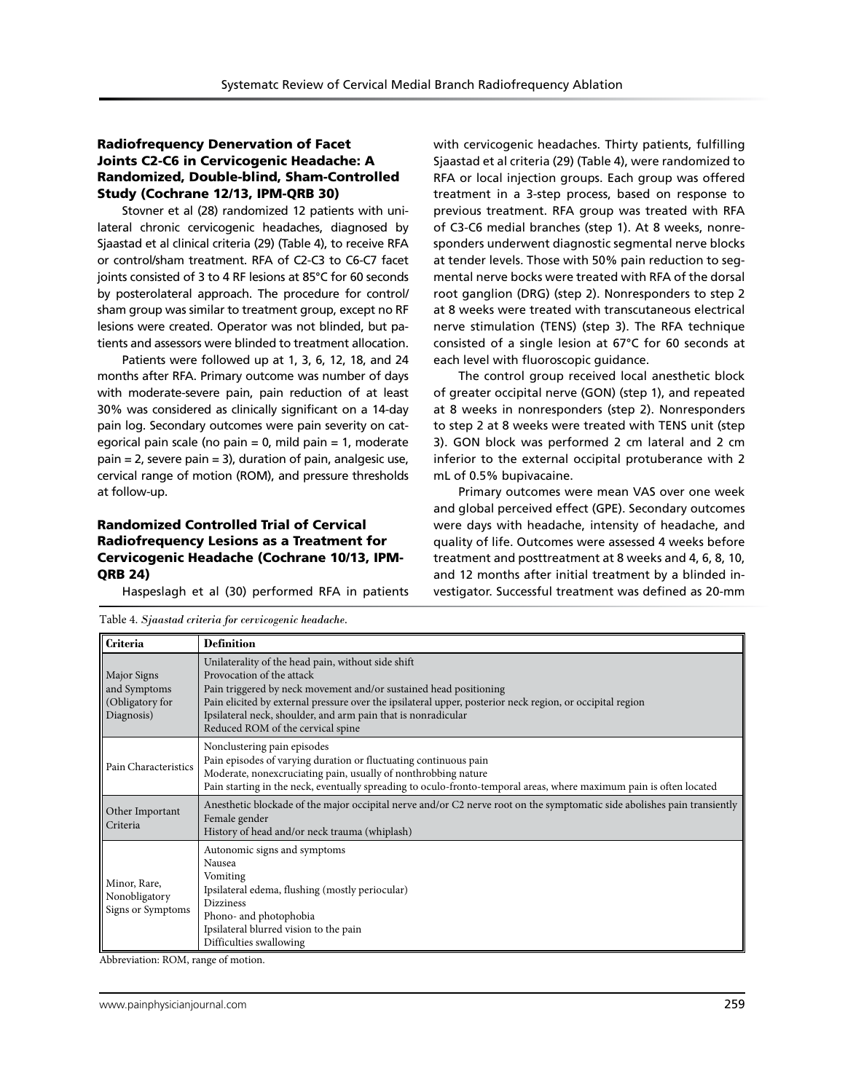## Radiofrequency Denervation of Facet Joints C2-C6 in Cervicogenic Headache: A Randomized, Double-blind, Sham-Controlled Study (Cochrane 12/13, IPM-QRB 30)

Stovner et al (28) randomized 12 patients with unilateral chronic cervicogenic headaches, diagnosed by Sjaastad et al clinical criteria (29) (Table 4), to receive RFA or control/sham treatment. RFA of C2-C3 to C6-C7 facet joints consisted of 3 to 4 RF lesions at 85°C for 60 seconds by posterolateral approach. The procedure for control/ sham group was similar to treatment group, except no RF lesions were created. Operator was not blinded, but patients and assessors were blinded to treatment allocation.

Patients were followed up at 1, 3, 6, 12, 18, and 24 months after RFA. Primary outcome was number of days with moderate-severe pain, pain reduction of at least 30% was considered as clinically significant on a 14-day pain log. Secondary outcomes were pain severity on categorical pain scale (no pain  $= 0$ , mild pain  $= 1$ , moderate pain = 2, severe pain = 3), duration of pain, analgesic use, cervical range of motion (ROM), and pressure thresholds at follow-up.

## Randomized Controlled Trial of Cervical Radiofrequency Lesions as a Treatment for Cervicogenic Headache (Cochrane 10/13, IPM-QRB 24)

Table 4. *Sjaastad criteria for cervicogenic headache.*

Haspeslagh et al (30) performed RFA in patients

with cervicogenic headaches. Thirty patients, fulfilling Sjaastad et al criteria (29) (Table 4), were randomized to RFA or local injection groups. Each group was offered treatment in a 3-step process, based on response to previous treatment. RFA group was treated with RFA of C3-C6 medial branches (step 1). At 8 weeks, nonresponders underwent diagnostic segmental nerve blocks at tender levels. Those with 50% pain reduction to segmental nerve bocks were treated with RFA of the dorsal root ganglion (DRG) (step 2). Nonresponders to step 2 at 8 weeks were treated with transcutaneous electrical nerve stimulation (TENS) (step 3). The RFA technique consisted of a single lesion at 67°C for 60 seconds at each level with fluoroscopic guidance.

The control group received local anesthetic block of greater occipital nerve (GON) (step 1), and repeated at 8 weeks in nonresponders (step 2). Nonresponders to step 2 at 8 weeks were treated with TENS unit (step 3). GON block was performed 2 cm lateral and 2 cm inferior to the external occipital protuberance with 2 mL of 0.5% bupivacaine.

Primary outcomes were mean VAS over one week and global perceived effect (GPE). Secondary outcomes were days with headache, intensity of headache, and quality of life. Outcomes were assessed 4 weeks before treatment and posttreatment at 8 weeks and 4, 6, 8, 10, and 12 months after initial treatment by a blinded investigator. Successful treatment was defined as 20-mm

| <b>Criteria</b>                                                                                                                                                                                                           | <b>Definition</b>                                                                                                                                                                                                                                                                                                                                                       |  |  |
|---------------------------------------------------------------------------------------------------------------------------------------------------------------------------------------------------------------------------|-------------------------------------------------------------------------------------------------------------------------------------------------------------------------------------------------------------------------------------------------------------------------------------------------------------------------------------------------------------------------|--|--|
| Major Signs<br>and Symptoms<br>(Obligatory for<br>Diagnosis)                                                                                                                                                              | Unilaterality of the head pain, without side shift<br>Provocation of the attack<br>Pain triggered by neck movement and/or sustained head positioning<br>Pain elicited by external pressure over the ipsilateral upper, posterior neck region, or occipital region<br>Ipsilateral neck, shoulder, and arm pain that is nonradicular<br>Reduced ROM of the cervical spine |  |  |
| Pain Characteristics                                                                                                                                                                                                      | Nonclustering pain episodes<br>Pain episodes of varying duration or fluctuating continuous pain<br>Moderate, nonexcruciating pain, usually of nonthrobbing nature<br>Pain starting in the neck, eventually spreading to oculo-fronto-temporal areas, where maximum pain is often located                                                                                |  |  |
| Anesthetic blockade of the major occipital nerve and/or C2 nerve root on the symptomatic side abolishes pain transiently<br>Other Important<br>Female gender<br>Criteria<br>History of head and/or neck trauma (whiplash) |                                                                                                                                                                                                                                                                                                                                                                         |  |  |
| Minor, Rare,<br>Nonobligatory<br>Signs or Symptoms                                                                                                                                                                        | Autonomic signs and symptoms<br>Nausea<br>Vomiting<br>Ipsilateral edema, flushing (mostly periocular)<br><b>Dizziness</b><br>Phono- and photophobia<br>Ipsilateral blurred vision to the pain<br>Difficulties swallowing                                                                                                                                                |  |  |

Abbreviation: ROM, range of motion.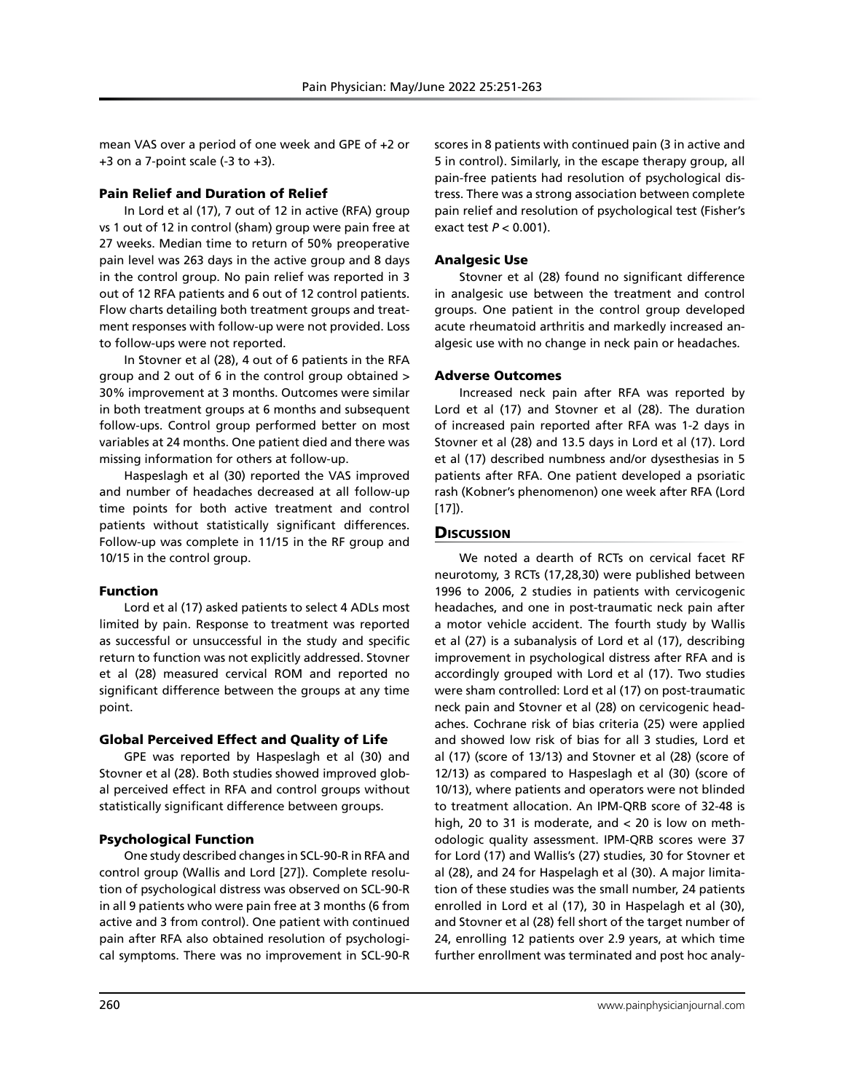mean VAS over a period of one week and GPE of +2 or  $+3$  on a 7-point scale (-3 to  $+3$ ).

## Pain Relief and Duration of Relief

In Lord et al (17), 7 out of 12 in active (RFA) group vs 1 out of 12 in control (sham) group were pain free at 27 weeks. Median time to return of 50% preoperative pain level was 263 days in the active group and 8 days in the control group. No pain relief was reported in 3 out of 12 RFA patients and 6 out of 12 control patients. Flow charts detailing both treatment groups and treatment responses with follow-up were not provided. Loss to follow-ups were not reported.

In Stovner et al (28), 4 out of 6 patients in the RFA group and 2 out of 6 in the control group obtained > 30% improvement at 3 months. Outcomes were similar in both treatment groups at 6 months and subsequent follow-ups. Control group performed better on most variables at 24 months. One patient died and there was missing information for others at follow-up.

Haspeslagh et al (30) reported the VAS improved and number of headaches decreased at all follow-up time points for both active treatment and control patients without statistically significant differences. Follow-up was complete in 11/15 in the RF group and 10/15 in the control group.

# Function

Lord et al (17) asked patients to select 4 ADLs most limited by pain. Response to treatment was reported as successful or unsuccessful in the study and specific return to function was not explicitly addressed. Stovner et al (28) measured cervical ROM and reported no significant difference between the groups at any time point.

# Global Perceived Effect and Quality of Life

GPE was reported by Haspeslagh et al (30) and Stovner et al (28). Both studies showed improved global perceived effect in RFA and control groups without statistically significant difference between groups.

# Psychological Function

One study described changes in SCL-90-R in RFA and control group (Wallis and Lord [27]). Complete resolution of psychological distress was observed on SCL-90-R in all 9 patients who were pain free at 3 months (6 from active and 3 from control). One patient with continued pain after RFA also obtained resolution of psychological symptoms. There was no improvement in SCL-90-R

scores in 8 patients with continued pain (3 in active and 5 in control). Similarly, in the escape therapy group, all pain-free patients had resolution of psychological distress. There was a strong association between complete pain relief and resolution of psychological test (Fisher's exact test *P* < 0.001).

## Analgesic Use

Stovner et al (28) found no significant difference in analgesic use between the treatment and control groups. One patient in the control group developed acute rheumatoid arthritis and markedly increased analgesic use with no change in neck pain or headaches.

# Adverse Outcomes

Increased neck pain after RFA was reported by Lord et al (17) and Stovner et al (28). The duration of increased pain reported after RFA was 1-2 days in Stovner et al (28) and 13.5 days in Lord et al (17). Lord et al (17) described numbness and/or dysesthesias in 5 patients after RFA. One patient developed a psoriatic rash (Kobner's phenomenon) one week after RFA (Lord [17]).

# **Discussion**

We noted a dearth of RCTs on cervical facet RF neurotomy, 3 RCTs (17,28,30) were published between 1996 to 2006, 2 studies in patients with cervicogenic headaches, and one in post-traumatic neck pain after a motor vehicle accident. The fourth study by Wallis et al (27) is a subanalysis of Lord et al (17), describing improvement in psychological distress after RFA and is accordingly grouped with Lord et al (17). Two studies were sham controlled: Lord et al (17) on post-traumatic neck pain and Stovner et al (28) on cervicogenic headaches. Cochrane risk of bias criteria (25) were applied and showed low risk of bias for all 3 studies, Lord et al (17) (score of 13/13) and Stovner et al (28) (score of 12/13) as compared to Haspeslagh et al (30) (score of 10/13), where patients and operators were not blinded to treatment allocation. An IPM-QRB score of 32-48 is high, 20 to 31 is moderate, and < 20 is low on methodologic quality assessment. IPM-QRB scores were 37 for Lord (17) and Wallis's (27) studies, 30 for Stovner et al (28), and 24 for Haspelagh et al (30). A major limitation of these studies was the small number, 24 patients enrolled in Lord et al (17), 30 in Haspelagh et al (30), and Stovner et al (28) fell short of the target number of 24, enrolling 12 patients over 2.9 years, at which time further enrollment was terminated and post hoc analy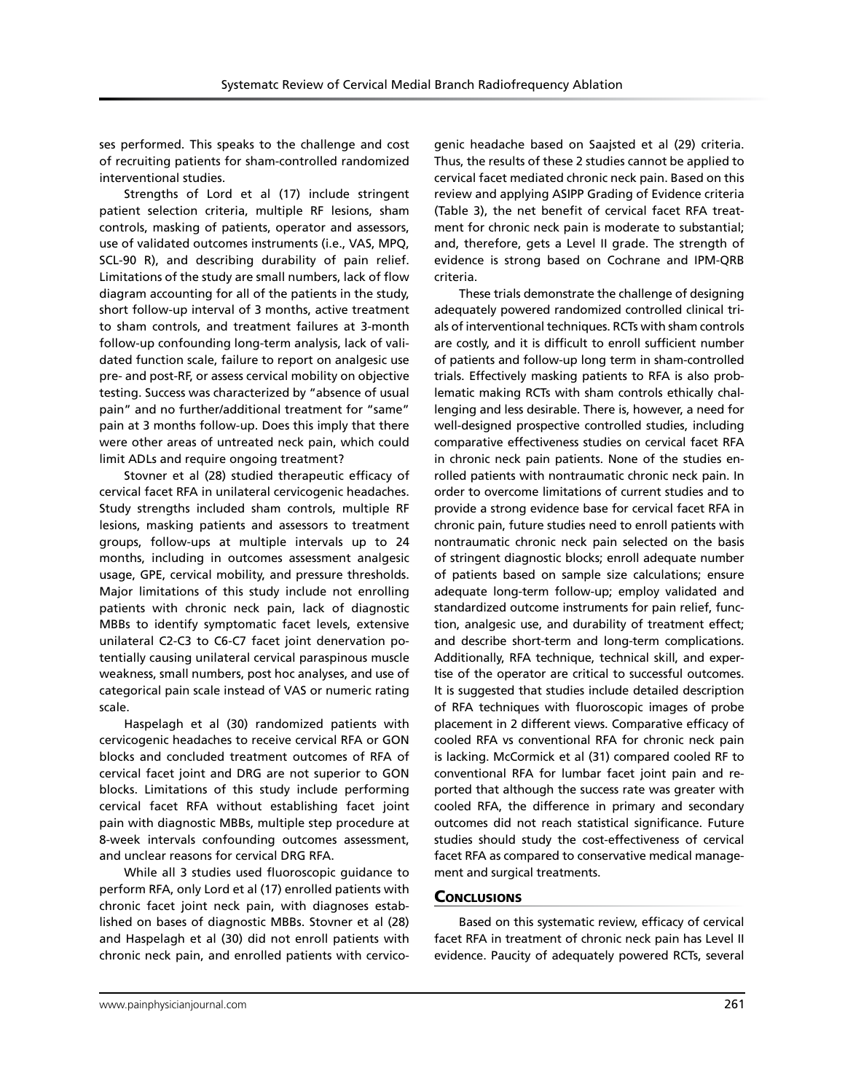ses performed. This speaks to the challenge and cost of recruiting patients for sham-controlled randomized interventional studies.

Strengths of Lord et al (17) include stringent patient selection criteria, multiple RF lesions, sham controls, masking of patients, operator and assessors, use of validated outcomes instruments (i.e., VAS, MPQ, SCL-90 R), and describing durability of pain relief. Limitations of the study are small numbers, lack of flow diagram accounting for all of the patients in the study, short follow-up interval of 3 months, active treatment to sham controls, and treatment failures at 3-month follow-up confounding long-term analysis, lack of validated function scale, failure to report on analgesic use pre- and post-RF, or assess cervical mobility on objective testing. Success was characterized by "absence of usual pain" and no further/additional treatment for "same" pain at 3 months follow-up. Does this imply that there were other areas of untreated neck pain, which could limit ADLs and require ongoing treatment?

Stovner et al (28) studied therapeutic efficacy of cervical facet RFA in unilateral cervicogenic headaches. Study strengths included sham controls, multiple RF lesions, masking patients and assessors to treatment groups, follow-ups at multiple intervals up to 24 months, including in outcomes assessment analgesic usage, GPE, cervical mobility, and pressure thresholds. Major limitations of this study include not enrolling patients with chronic neck pain, lack of diagnostic MBBs to identify symptomatic facet levels, extensive unilateral C2-C3 to C6-C7 facet joint denervation potentially causing unilateral cervical paraspinous muscle weakness, small numbers, post hoc analyses, and use of categorical pain scale instead of VAS or numeric rating scale.

Haspelagh et al (30) randomized patients with cervicogenic headaches to receive cervical RFA or GON blocks and concluded treatment outcomes of RFA of cervical facet joint and DRG are not superior to GON blocks. Limitations of this study include performing cervical facet RFA without establishing facet joint pain with diagnostic MBBs, multiple step procedure at 8-week intervals confounding outcomes assessment, and unclear reasons for cervical DRG RFA.

While all 3 studies used fluoroscopic guidance to perform RFA, only Lord et al (17) enrolled patients with chronic facet joint neck pain, with diagnoses established on bases of diagnostic MBBs. Stovner et al (28) and Haspelagh et al (30) did not enroll patients with chronic neck pain, and enrolled patients with cervicogenic headache based on Saajsted et al (29) criteria. Thus, the results of these 2 studies cannot be applied to cervical facet mediated chronic neck pain. Based on this review and applying ASIPP Grading of Evidence criteria (Table 3), the net benefit of cervical facet RFA treatment for chronic neck pain is moderate to substantial; and, therefore, gets a Level II grade. The strength of evidence is strong based on Cochrane and IPM-QRB criteria.

These trials demonstrate the challenge of designing adequately powered randomized controlled clinical trials of interventional techniques. RCTs with sham controls are costly, and it is difficult to enroll sufficient number of patients and follow-up long term in sham-controlled trials. Effectively masking patients to RFA is also problematic making RCTs with sham controls ethically challenging and less desirable. There is, however, a need for well-designed prospective controlled studies, including comparative effectiveness studies on cervical facet RFA in chronic neck pain patients. None of the studies enrolled patients with nontraumatic chronic neck pain. In order to overcome limitations of current studies and to provide a strong evidence base for cervical facet RFA in chronic pain, future studies need to enroll patients with nontraumatic chronic neck pain selected on the basis of stringent diagnostic blocks; enroll adequate number of patients based on sample size calculations; ensure adequate long-term follow-up; employ validated and standardized outcome instruments for pain relief, function, analgesic use, and durability of treatment effect; and describe short-term and long-term complications. Additionally, RFA technique, technical skill, and expertise of the operator are critical to successful outcomes. It is suggested that studies include detailed description of RFA techniques with fluoroscopic images of probe placement in 2 different views. Comparative efficacy of cooled RFA vs conventional RFA for chronic neck pain is lacking. McCormick et al (31) compared cooled RF to conventional RFA for lumbar facet joint pain and reported that although the success rate was greater with cooled RFA, the difference in primary and secondary outcomes did not reach statistical significance. Future studies should study the cost-effectiveness of cervical facet RFA as compared to conservative medical management and surgical treatments.

#### **CONCLUSIONS**

Based on this systematic review, efficacy of cervical facet RFA in treatment of chronic neck pain has Level II evidence. Paucity of adequately powered RCTs, several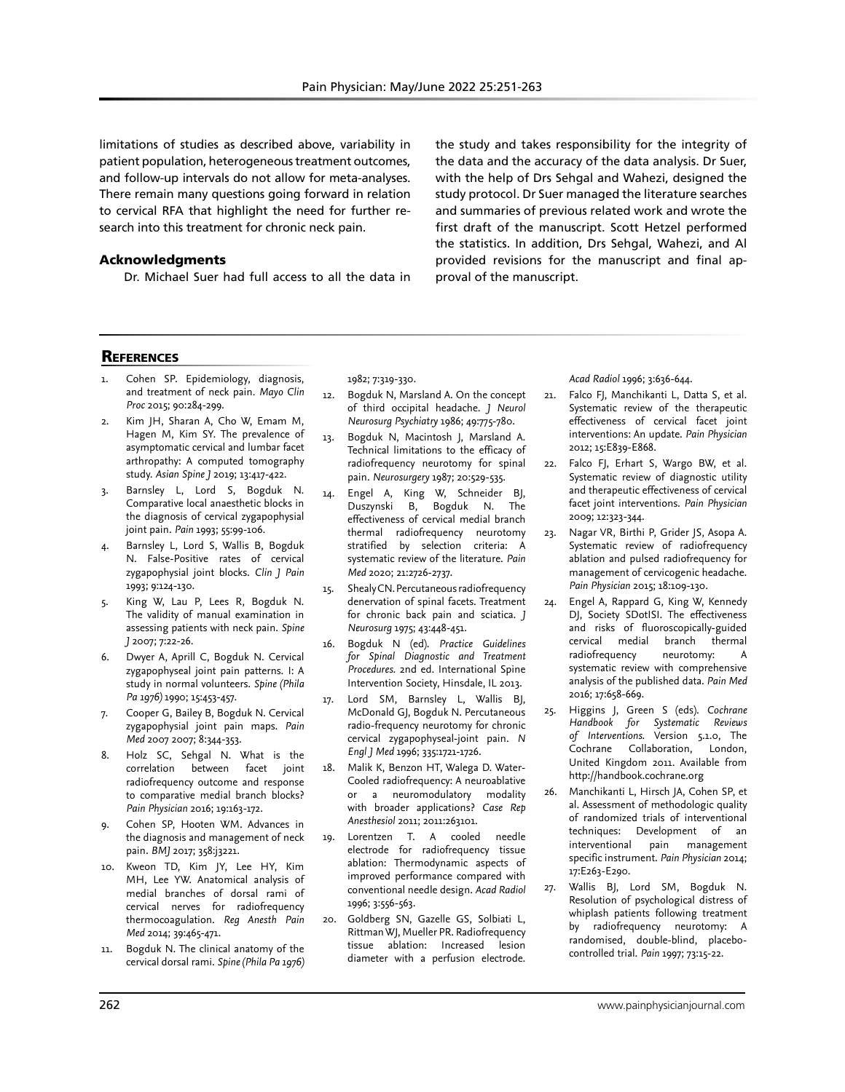limitations of studies as described above, variability in patient population, heterogeneous treatment outcomes, and follow-up intervals do not allow for meta-analyses. There remain many questions going forward in relation to cervical RFA that highlight the need for further research into this treatment for chronic neck pain.

#### Acknowledgments

Dr. Michael Suer had full access to all the data in

the study and takes responsibility for the integrity of the data and the accuracy of the data analysis. Dr Suer, with the help of Drs Sehgal and Wahezi, designed the study protocol. Dr Suer managed the literature searches and summaries of previous related work and wrote the first draft of the manuscript. Scott Hetzel performed the statistics. In addition, Drs Sehgal, Wahezi, and Al provided revisions for the manuscript and final approval of the manuscript.

## **REFERENCES**

- 1. Cohen SP. Epidemiology, diagnosis, and treatment of neck pain. *Mayo Clin Proc* 2015; 90:284-299.
- 2. Kim JH, Sharan A, Cho W, Emam M, Hagen M, Kim SY. The prevalence of asymptomatic cervical and lumbar facet arthropathy: A computed tomography study. *Asian Spine J* 2019; 13:417-422.
- 3. Barnsley L, Lord S, Bogduk N. Comparative local anaesthetic blocks in the diagnosis of cervical zygapophysial joint pain. *Pain* 1993; 55:99-106.
- 4. Barnsley L, Lord S, Wallis B, Bogduk N. False-Positive rates of cervical zygapophysial joint blocks. *Clin J Pain* 1993; 9:124-130.
- 5. King W, Lau P, Lees R, Bogduk N. The validity of manual examination in assessing patients with neck pain. *Spine J* 2007; 7:22-26.
- 6. Dwyer A, Aprill C, Bogduk N. Cervical zygapophyseal joint pain patterns. I: A study in normal volunteers. *Spine (Phila Pa 1976)* 1990; 15:453-457.
- 7. Cooper G, Bailey B, Bogduk N. Cervical zygapophysial joint pain maps. *Pain Med* 2007 2007; 8:344-353.
- 8. Holz SC, Sehgal N. What is the correlation between facet joint radiofrequency outcome and response to comparative medial branch blocks? *Pain Physician* 2016; 19:163-172.
- Cohen SP, Hooten WM. Advances in the diagnosis and management of neck pain. *BMJ* 2017; 358:j3221.
- 10. Kweon TD, Kim JY, Lee HY, Kim MH, Lee YW. Anatomical analysis of medial branches of dorsal rami of cervical nerves for radiofrequency thermocoagulation. *Reg Anesth Pain Med* 2014; 39:465-471.
- 11. Bogduk N. The clinical anatomy of the cervical dorsal rami. *Spine (Phila Pa 1976)*

1982; 7:319-330.

- 12. Bogduk N, Marsland A. On the concept of third occipital headache. *J Neurol Neurosurg Psychiatry* 1986; 49:775-780.
- 13. Bogduk N, Macintosh J, Marsland A. Technical limitations to the efficacy of radiofrequency neurotomy for spinal pain. *Neurosurgery* 1987; 20:529-535.
- 14. Engel A, King W, Schneider BJ, Duszynski B, Bogduk N. The effectiveness of cervical medial branch thermal radiofrequency neurotomy stratified by selection criteria: A systematic review of the literature. *Pain Med* 2020; 21:2726-2737.
- 15. Shealy CN. Percutaneous radiofrequency denervation of spinal facets. Treatment for chronic back pain and sciatica. *J Neurosurg* 1975; 43:448-451.
- 16. Bogduk N (ed). *Practice Guidelines for Spinal Diagnostic and Treatment Procedures*. 2nd ed. International Spine Intervention Society, Hinsdale, IL 2013.
- 17. Lord SM, Barnsley L, Wallis BJ, McDonald GJ, Bogduk N. Percutaneous radio-frequency neurotomy for chronic cervical zygapophyseal-joint pain. *N Engl J Med* 1996; 335:1721-1726.
- 18. Malik K, Benzon HT, Walega D. Water-Cooled radiofrequency: A neuroablative or a neuromodulatory modality with broader applications? *Case Rep Anesthesiol* 2011; 2011:263101.
- 19. Lorentzen T. A cooled needle electrode for radiofrequency tissue ablation: Thermodynamic aspects of improved performance compared with conventional needle design. *Acad Radiol* 1996; 3:556-563.
- 20. Goldberg SN, Gazelle GS, Solbiati L, Rittman WJ, Mueller PR. Radiofrequency tissue ablation: Increased lesion diameter with a perfusion electrode.

*Acad Radiol* 1996; 3:636-644.

- 21. Falco FJ, Manchikanti L, Datta S, et al. Systematic review of the therapeutic effectiveness of cervical facet joint interventions: An update. *Pain Physician* 2012; 15:E839-E868.
- 22. Falco FJ, Erhart S, Wargo BW, et al. Systematic review of diagnostic utility and therapeutic effectiveness of cervical facet joint interventions. *Pain Physician* 2009; 12:323-344.
- 23. Nagar VR, Birthi P, Grider JS, Asopa A. Systematic review of radiofrequency ablation and pulsed radiofrequency for management of cervicogenic headache. *Pain Physician* 2015; 18:109-130.
- 24. Engel A, Rappard G, King W, Kennedy DJ, Society SDotISI. The effectiveness and risks of fluoroscopically-guided cervical medial branch thermal radiofrequency neurotomy: A systematic review with comprehensive analysis of the published data. *Pain Med* 2016; 17:658-669.
- 25. Higgins J, Green S (eds). *Cochrane Handbook for Systematic Reviews of Interventions.* Version 5.1.0, The Cochrane Collaboration, London, United Kingdom 2011. Available from http://handbook.cochrane.org
- 26. Manchikanti L, Hirsch JA, Cohen SP, et al. Assessment of methodologic quality of randomized trials of interventional techniques: Development of an interventional pain management specific instrument. *Pain Physician* 2014; 17:E263-E290.
- 27. Wallis BJ, Lord SM, Bogduk N. Resolution of psychological distress of whiplash patients following treatment by radiofrequency neurotomy: A randomised, double-blind, placebocontrolled trial. *Pain* 1997; 73:15-22.